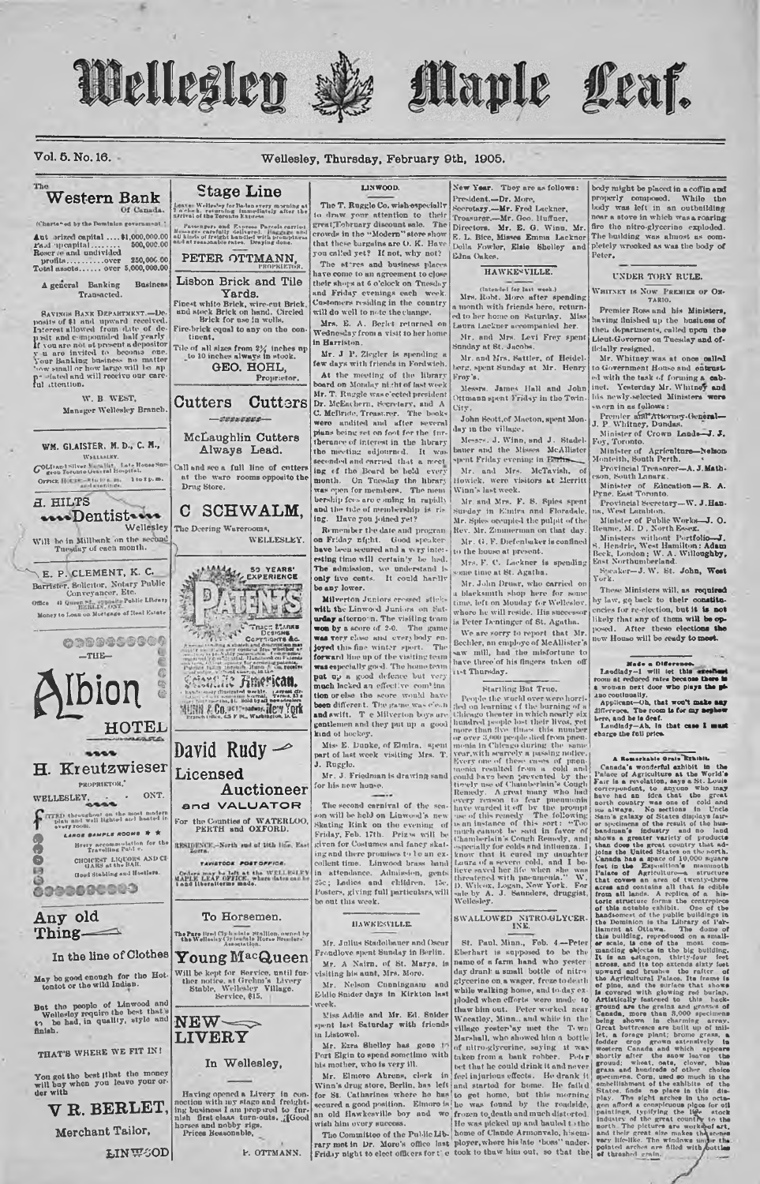







Vol. 5. No. 16.

### Wellesley, Thursday, February 9th, 1905.

### LINWOOD. New Year. They are as follows: **Stage Line** Western Bank President.-Dr. More. The T. Ruggle Co. wish especially Leave Welles'sy for Balancyery morning at<br>7 o'clock, returning (mmediately after the<br>assival of the Toronto Express Seeretary.-Mr. Fred Lackner. Of Canada to draw your attention to their (Chartered by the Dominion government) great, Tobruary discount sale. The<br>crowds in the "Modern" store show Passengers and Express Parce<br>sage: carefully delivered. High<br>kinds of freight handled with p<br>intreasonable rates. Draying  $\begin{array}{l} \textbf{Aut} \text{ orized capital} \dots, \$1,000,000.00 \\ \textbf{Had}\text{-}upcapital, \dots, \dots, \quad \$00,000.00 \\ \textbf{Roser} \text{ and undivided} \\ \textbf{prot} \text{ at } \dots, \dots, \text{over} \quad \$00,006.00 \\ \textbf{Total assets}, \dots, \text{over} \quad \$0,000,000.00 \\ \end{array}$ that these bargains are O. K. Have<br>you called yet? If not, why not? Della Fowler, Elsie Shelley and Edna Oakes. PETER OTTMANN. The stores and business place HAWKENVILLE. have come to an agreement to close Lisbon Brick and Tile their shops at 6 o'clock on Tuesday<br>and Friday evenings each week A general Banking **Business** (Intended for last week.)<br>Mrs. Robt. More after spending Transacted. Yards. Finest white Brick, wire-ent Brick<br>and stock Brick on hand. Circled<br>Brick for use in wolls. Customers residing in the country<br>will do well to note the change. a month with friends here, return<br>ed to her home on Saturday. Mis<br>Laura Lackner accompanied her. **SAVINGS BANK DEPARTMENT.-De** Sayurson Baxw Dreaments re-De-<br>posits of \$1 and upward received.<br>Interest allowed from date of the posits of \$1 and upward received.<br>Interest allowed from date yearly paint of the second one.<br>If you are not styled to becom Mrs. E. A. Berlet returned on<br>Wednesday from a visit to her home Fire-brick equal to any on the con-Mr. and Mrs. Levi Frey spent tinent. in Harriston Tile of all sizes from  $2\frac{\sqrt{3}}{4}$  inches  $\frac{\sqrt{3}}{4}$  to 10 inches always in stock. unday at St. Jacobs Mr. J. P. Ziegler is spending a<br>few days with friends in Fordwich. Mr. and Mrs. Sattler, of Heidel-<br>berg, spent Sunday at Mr. Henry GEO. HOHL, At the meeting of the library<br>board on Monday night of last week Proprietor. Frey's. Messrs. James Hall and John Mr. T. Ruggle wase'ected president<br>Dr. McEachern, Everetary, and A W. B. WEST, Ottmann spent Friday in the Twin **Cutters** Cutters Manager Wellesley Branch. C. McBride, Treasurer. The books City. -coosesse-John Scott.of Macton, spent Mon day in the village. McLaughlin Cutters plane course of interest in the library<br>the meeting edgourned. It was<br>seconded and carried that a meet<br>ing of the Board be hold every Messes, J. Winn, and J. Stadel-WM. GLAISTER. M. D., C. M., Always Lead. bauer and the Misses McAllis<br>spent Friday evening in Earth-McAllister WELLMLKY GOLD and Silver Madallat, Late House Sur Call and see a full line of entters Mr. and Mrs. McTavish, at the ware rooms opposite the Drug Store. Orrick Hotus-students. 1 to 1 p.m. month. On Tuesday the library Howick, were visitors at Merritt Winn's last week. besidip fees are e-ming in rapidly<br>and the tide of membership is rising. Have you joined yet? **A. HILTS** Mr. and Mrs. F. S. Spies spent<br>Surday in Elmira and Floradale. C SCHWALM. ...Dentist.... Mr. Spies occupied the pulpit of the<br>Rev. Mr. Zumnerman on that day. Wellesley The Deering Warerooms, Remember the date and program Will be in Millbank on the sec WELLESLEY. on Friday nfght. Good speaker<br>have been seemed and a very inter Mr. G. F. Diefenbaker is confined to the house at present. esting time will certainly be hed. Mrs. F. C. Lackner is spending The admission, we understand is E. P. CLEMENT, K. C. MALL SO YEARS' me time at St. Agatha. Barrister, Solicitor, Notary Public Conveyancer, Etc. Mr. John Druar, who carried on HITES be any lower. a blacksmith shop here for some<br>time, left on Mouday for Welleslov,<br>where he will reside. His successor  $\Box$ Office 41 Queen St., opposite Public Library Milverton Juniors cressed stickwith the Linwood Juniors on Sat-Money to Loan on Mortgage of Real Estat urday afternoon. The visiting team is Peter Dentinger of St. Agatha. **Party of Corporate States** We are sorry to report that Mr. was very close and everybody en-<br>joyed this fine winter sport. The<br>forward line up of the visiting team 0009456660 Com Bechler, an employe of McAllister's<br>saw mill, had the misfortune to THE-**Example 20** and the contract of the home term<br> **pat**  $\mathbf{u}_P$  a good defence but very<br>
much lacked an effective combination or she the score would have have three'of his fingers taken off ist Thursday. Ibion Schaalle Huerican For the basebolic state of the barring Bat Truo. Tech on learning of the one of the barring of the barring of the base, red manner band with the matter lines are over 3,500 pequele det from poster model of the model of th Startling But True. Experience distance and the control of the control of the control of the control of the control of the control of the control of the control of the control of the control of the control of the control of the control of the heen different. The game was clean and swift. T e Milverton boys are<br>gentlemen and they put up a good HOTEL **EXERCISE THE REAL PROPERTY OF THE UNIT AND THIS CHINE IS the second of the second state in the second of the second of the second of the second of the second of the second of the second of the second of the second of the** kind of hockey. Mis- E. Dunke, of Elmira, spent<br>part of last week visiting Mrs. T David Rudy  $\blacktriangleright$  $\cdots$ H. Kreutzwieser Licensed риориктон, Auctioneer  $ONT$ WELLESLEY CARR and VALUATOR the throughout on the most modern<br>plan and well lighted and heated in<br>every room. For the Counties of WATERLOO.<br>PERTH and OXFORD. LARGE BAMPLE ROOMS # 1 RESIDENCE,-North and of 16th line, Ea Brery accommodation for the Travelling Public. **CHOICEST LIQUORS AND CI**<br>GARS at the BAR. TAVISTOOK POST OFFICE **Good Stabling and Hostlers** Orders may be left at the WELLESLEY<br>MAPLE LEAF OFFICE, where dates can be<br>Lead liberalisting made. 6999080000 Any old To Horsemen. Thing — The Pare Hrad Clydenbale Stalllon, owned by<br>the Wellasiay Circles'ale Horse Branders' In the line of Clothes Young MacQueen Will be kept for Service, until further notice, at Grehm's Livery<br>Stable, Wellesley Village.<br>Service, \$15. May be good enough for the Hot-But the people of Linwood and<br>Wellesloy require the best that's<br>to be had, in quality, style and<br>finish.  $NEW \infty$ **LIVERY** THAT'S WHERE WE FIT IN! In Wellesley, You get the best that the money<br>will buy when you leave your or-<br>der with Having opened a Livery in connection with my stage and freight-<br>ing business I am prop-rod to fur-<br>nish first claas, turn-outs.  $\chi$ <br>[Good horses and nobby rigs. V R. BERLET, Merchant Tailor. **LINWGOD** P. OTTMANN.

body might be placed in a coffin and<br>properly composed. While the<br>body was left in an outbuilding<br>near a stove in which was a roaring fire the nitro-glycerine exploded. The building was almost as com-<br>pletely wrocked as was the body of Peter.

### UNDER TORY RULE.

WHITNEY IS NOW PREMIER OF ON- $\frac{7 \text{ AR10}}{7 \text{ AR10}}$ .

Premier Ross and his Ministers. having flnished up the business of then departments, called upon the Lieut-Governor on Tuesday and of-<br>ilcially resigned.

Mr. Whitney was at once called<br>to Government House and entrusted with the task of forming a cabinet. Yesterday Mr. Whitney and his newly-selected Ministers were and

lia newly-selected Ministers were<br>saven in as follows:<br>Premier affit Attorney-General—<br>J. P. Whitney, Dundas.<br>Minister of Crown Lands--J. J.<br>Foy, Toronto.<br>Minister of Agriculture-Nekson<br>Hontein, South Perh.<br>Montein, Savann Provincial Treasurer-A. J. Math-

Minister of Education - R. A.

Provincial Secretary-W. J. Han-<br>n, West Lambton.

na, West Lambion.<br>
Minister of Public Works-J. O.<br>
Reume, M. D., North Essex.<br>
Hinisters without Portfolio-J.<br>
S. Hendrie, West Hamilton: Adam<br>
Beck, London: W. Hamilton: Adam<br>
Seek, London: V. H. John, West<br>
Seekaer-J. W

These Ministers will, as required by law, go back to their constitulikely that any of them will be op-<br>posed. After these elections the low House will be ready to meet.

Nedo a Oldersmon.<br>
Lacidady-1 will let this arcolhost count at reduced rates because there is<br>
nown at reduced rates because there is<br>
a wound between the plays the plays are working<br>
a policant-Oh, that would note any ne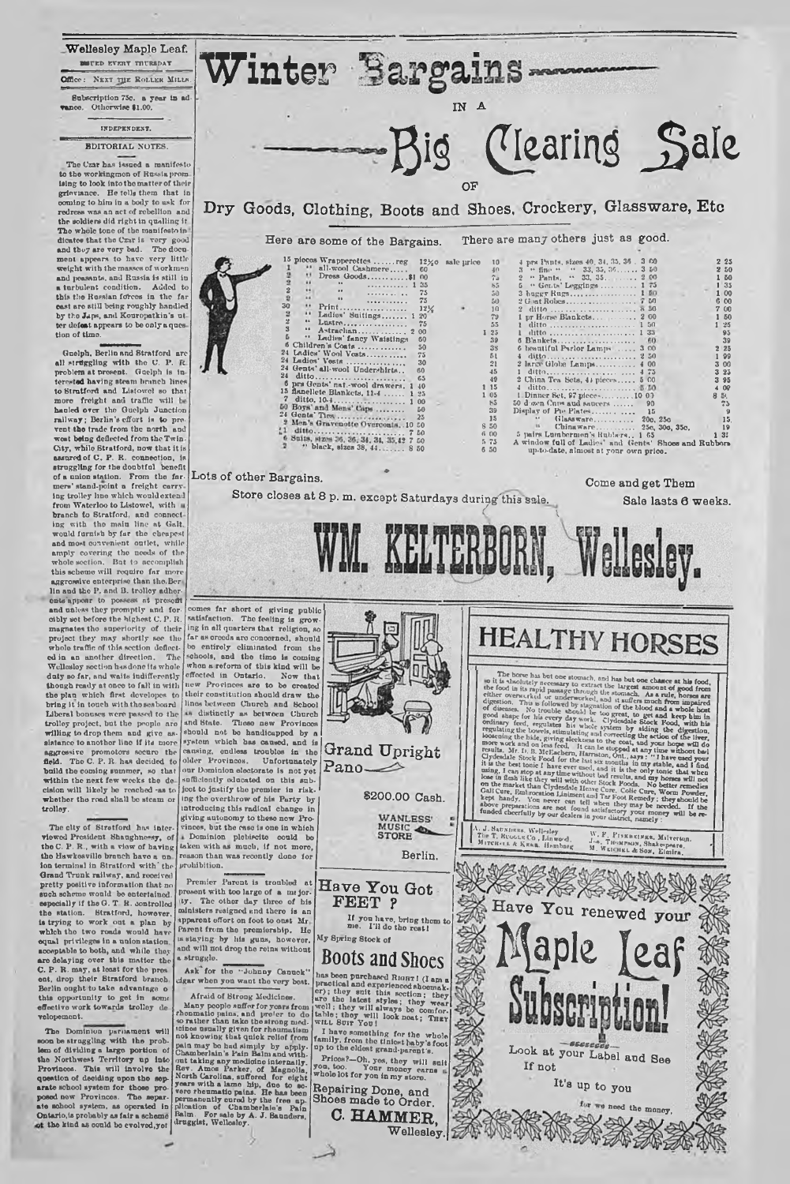**Wellesley Maple Leaf. MITED EVERT THURSDAY** Office: Next *rpr.* Roller Millh. Subscription 75c. a year In ad-vance. Otherwise 11.00.

### IX DEPENDENT.

### EDITORIAL NOTES.

The Czar has issued a manifesto to tho workingmen of Russia prom laing to look into tho matter of their grieviance. He tells them that in<br>coming to him in a body to usk for redress was an act of rebellion and the soldiers did right in qualling it The whole tone of the manifesto in<br>dicate that the Czx is very good<br>and they are very bad. The doce-<br>ment appears to have very little<br>weight with the masses of workmen<br>and peasants, and Russia is still in<br>a turbulent condi east are still being roughly handled by the Japs, and Kouropatkin's ut-<br>ter defeat appears to be only a ques tion of time.

Guelph, Berlin nnd Stratford are all struggling with the C. P. R.<br>problem at present. Guelph is inforested having steam branch lines to Stratford and Listowel so that<br>more freight and traffic will be hauled over the Guelph Junction railway; Berlin's effort is to provent the trade from the north and<br>wost being deflected from the Twin-<br>City, while Stratford, now that it is assured of C . P. R. connection, is struggling for the doubtful benefit of a anion station. From tho far-mers' stand-point a freight carry ing trolley lino which would extend<br>from Waterloo to Listowel, with uncertaint to Stratford, and connoct<br>branch to main line at Galt,<br>would furnish by far the cheapest and most convenient outlet, while<br>amply covering the needs of the<br>whole-section. But to accomplish this scheme will require far more aggressive enterprise than the. Bor lin and the P. and B. trolley adher-<br>ents appear to possess at presort<br>and unless they promptly and for-<br>cibly sot before the highest C. P. R.<br>magnates tho superiority of their project they may shortly see the wholo traffic of this section deflect-<br>ed in an another direction. The<br>Wellesloy section h-sadone its whole<br>duty so far, and waits indifferently though ready at once to fall in with tho plan which first dovelopes to bring it in touch with tho seaboard Liberal bonuses were passed to the trolloy project, but tho people are willing to drop them and give as-sistance to anothor lino if its more aggressive promotors secure the<br>field The C.P.R has decided to The C. P. R. has decided to build tho coming summer, so that within the next few weeks the de cision will likely be reached -as to wbethor the road shall bo steam or trolley.

The city of Stratford has interviewed President Shaughnessy, of the C. P. R., with a view of having the Hawkosville branch have a un-<br>ion terminal in Stratford with the Grand Trunk railway, and received pretty positive information that no such scheme would be entertainod, especially if the G. T. R. controlled<br>the station. Stratford, however,<br>is trying to work out a plan by<br>which the two roads would have<br>equal privileges in a union station. acceptable to both, and while they<br>are delaying over this matter the<br>C.P. R. may, at least for the pres<br>ent, drop their Stratford branch.<br>Berlin ought to take advantage of<br>this opportunity to get in some<br>effective work tow velopemont.

Tho Dominion parliament will soon be straggling with tho problem of dividing a large portion of<br>the Northwest Territory up into<br>Provinces. This will involve the<br>question of deciding upon the sep-<br>arate school system for those pro-<br>posed new Provinces. The separate school system, as

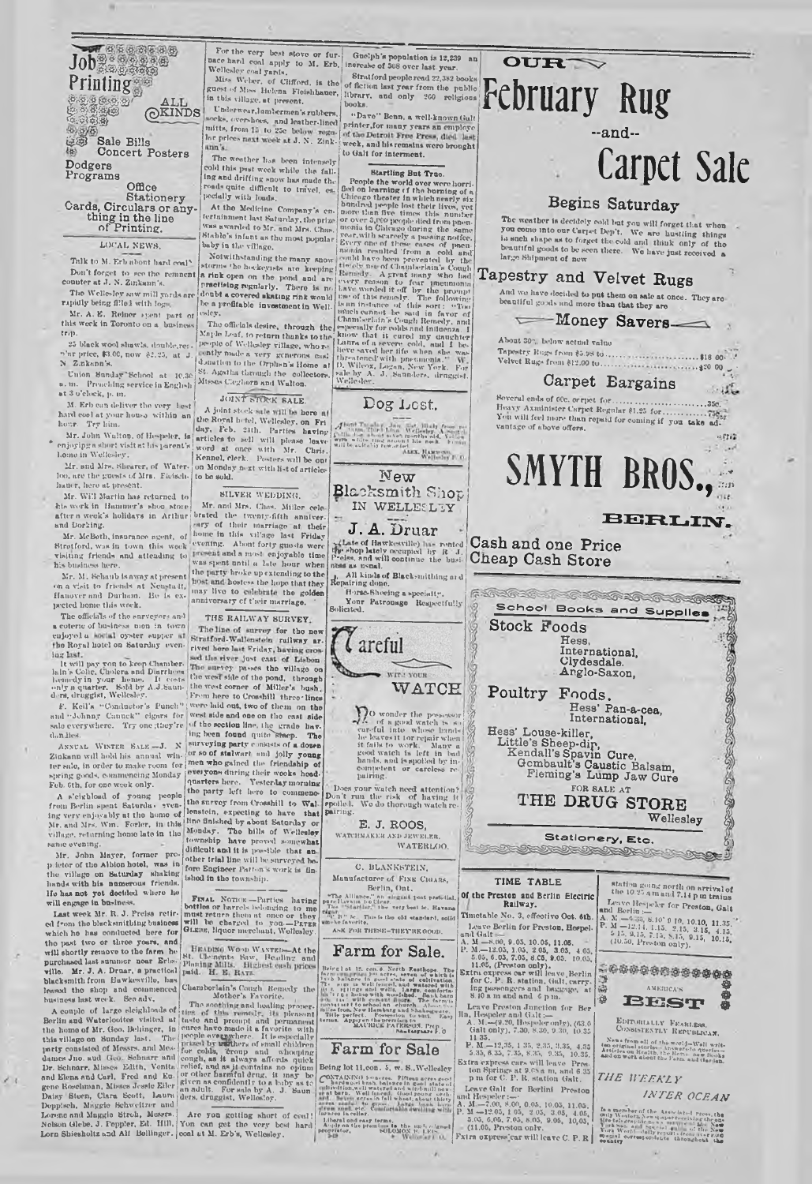扇

### 9/8 *& &* **Sale Bills Concert Posters Dodgers Programs**

**Office Stationery Cards, Circulars or any-thing in the line of Printing.**

### LOCAL NEWS.

Talk to M. Erb about hard coal\* Don't forget to see the remnent<br>counter at J. N. Zinkann's.

Tho Wellesley snw mill yards are rapidly being filled with logs.

Mr. A. E. Reiner »;sent part of this week in Toronto on a business trip-

25 black wool shawls, double,re: n'nr price, \$3.0C, now \$2.23, ut J. nkann's.

Union Sunday' School at 10.30 u. in. Preaching service in English at 3 o'clock, p. tn.

M. Erb cun deliver the very lest A joint steek sale will be here<br>hard cool at your house within an Une Royal betel, Wellesley, on 1

hoar. Try him.<br>
\* Mr. John Waltop, of Hospeler, is<br>
\* enjoyipgn short visit at his parent's<br>
homo in Wellesley,<br>
Mr. and Mrs. Shearer, of Water-<br>
hos, are the guests of Mrs. Facisch.<br>
Inuter, hero at present. Too, are the guests of Mrs. Ficisch. to be sold.<br>
Muter, here at present.<br>
Mr. Will Martin has returned to SILVER WEDDING.

Mr. Will Martin has returned to his work in Hummer's shoo store;<br>after a week's holidays in Arthur and Dorking.

Hanover and Durhum. He is ex- anniversary of their marriage.

The officials of the surveyors and **THE RAILWAY SURVEY**,<br>a coterie of business men in town **i** Fig. inflored, walkingston railway<br>enjoyed a social opster supper at  $\frac{1}{2}$  Stratford, Walkington railway ar-<br>the Royal hote

To will pay you to keep Chamber-<br>The Will pay you to keep Chamber-<br>Laim's Colic, Cholera and Diarrhees<br>Leandy in your Torme. It costs<br>only a quarter. Sold by A.J.Saun-<br>dora, druggist, Wellesley.

A s'eighload of young people from Berlin spent Saturda, evening very enjoyably at the home of Mr. and Mrs. Win. Forler, in this village, returning home late in the

Mr. John Mayer, former pro-<br>p. ictor of the Albion hotel, was in<br>the village on Saturday shaking<br>hands with bis numerous friends.<br>Ho has not yet decided where lie<br>will engage in business.

Last week Mr. R. J. Preiss retired from the blacksmithing business which he has conducted here for the past two or three yours, and<br>will shortly remove to the farm he Will shortly remove to the farm he will shortly and<br>purchased last summer near Erbs. St. Clements Saw, Beading and<br>wille. Mr. J. A. Druar, a practical pai placksmith from Hawkesvillo, has <br>which say that the Hamkov Hawkesvillo, has blacksmith from Hawkesvillo, has <br>blacksmith from Hawkesvillo, has leaved the has the same of the leaved in the business last week. See adv, Moth

dames Juo, and Geo. Schmarr and congla, as it always affords puick<br>Dr. Schnarr, Misson Edith, Vonita relief, and as it contains no opinum<br>and Elena and Carl, Fred and Eq. (or other harmital drug, it may be<br>gene Roseluman, Lorone and Maggie Strob, Messrs.<br>Nelson Glebe, J. Peppler, Ed. Hill,<br>Lorn Shiesholtz and Alf Bollinger.

 $\lambda$ 

nace innet cool apply to M. Erb,<br>
Wellesley coal yards,<br>
Miss Weber, of Clifford, is the<br>
guest of Miss Helena Floishbauer, in this village, at present. Underwear,lumbermen's rubbers

Ing weather has been intensely cold this past week while the fall-<br>ing and drifting snow has made the<br>roads quite difficult to travel, es-<br>pecially with loads.

At the Medleine Company's on-<br>lertainment last Suturday, the prize<br>was awarded to Mr. and Mrs. Chas.<br>Stable's infant as the most popular<br>baby in the village.<br>Notwithstanding the many snow

ano omenia desire, through the<br>Miple Leaf, to pet<br>make to the people of Wellesley willage, who re-<br>ently made a very generous cast<br>domation to the Orphen's Home at<br>St. Agatha timugli the collectors,<br>St. Agatha timugli the

**2012 L SHEK SALE.** 

day, Feb. 21th. Parties having day, Feb. 21th. Parties having word at once with Mr. Chris.<br>
word at once with Mr. Chris.<br>
Kennel, clerk. Posters will be out on Mendudy next with list of articles<br>
on Menduy next with list o

after a week's holidays in Arthur brated the twenty-fifth anniver-<br>and Dorking. **Figure 12** ary of their marriage at their Mr. and Mrs. Chas. Miller cele Mr. McBoth, insurance agent, of <sup>nome</sup>n unit will specify last Friday Street ford, was in town this word, we result in the specifical stress between the present and a most enjoyable time has business here.<br>It is business h

hin's Colic. Cholera and Diurrheen' the wasted of the pond, through only a quarter. Sold by A.J.Eam. Howevel correct of Miller's basis, during the straight, Wellesley.<br>
From here to Creashill three-lines for Newton and "Johnny Caucast" eigens for were laid ont, two of them on the and sold men who gained the friendship of<br>everyone during their wooks head-<br>quarters here. Yester.lay morning the your auring their work house<br>quarters here. Yesterday morning<br>the party left here to commencthe survey from Crosshill to Waling very enjoyably at the home of lematch, expecting to have that  $Mr$ , and  $Mrr$ , Wirn, Forler, in this Monday. The bills of Wellesley<br>village, returning home late in the Monday. The bills of Wellesley<br>same overally. other trial line will be surveyed be-<br>fore Engineer Patton's work is fin.<br>ishod in the township.

FINAL NOTHE-Parties having<br>bottles or barrels belonging to me<br>must return them at onco or they<br>will be charged to you—PETER<br>GLEBE, liquor merchant. Wollesley.

HEADING WOOD WANTED-At the St. Chements Saw, Beading and Planing Mills. Highest each prices

leased the shop and commenced Chambers and Mother's Fourth Remembers has verify the husiness last week. See ally, and a complete the set of this remember, Berlin and Waterlootes visited at these of this remember the home o given ns confidently to n baby ns to an adult. For sale by A. J.'Saun-ders. druggist, Wellealoy.

Are yon getting short of coal!<br>Yon can get the very best hard<br>coal at M. Erb's, Wellesley.

x or the very best stove or fur-<br>ice hard coal apply to M. Erb, increase of 308 over last year.<br>clienter such was 1 Stratford people read 22,382 books of fiction last year from tho public! library, und only 200 religions! books.

socks, overshoes, and leather-lined' printer, for many years an employe<br>mitts, from 15. to 250 below regard of the Detroit Free Press, died last<br>he prices next week at J. N. Zink: mesh ••Davo" Bonn, a well-known Galt printer, for many years an employe of the Detroit Free Press, died last . week, and his remains wore brought to Galt for interment.

Img and drifting show has much the 121.<br>
Seap in the vorial over were horri-<br>
reading the world over were horri-<br>
reading with Jonds.<br>
At the Medicine Company's cn. Bandred people has world over were horri-<br>
people has th Hemedy . A pread many who had been groundly<br>been reason to fear promindular the property reason to fear promindular<br>two delivering is the property in the property in the most property<br>in much cannot be static increase of



j. All kinds of Blacksmithing at d<br>Repairing done.<br>Horse-Sheeing a specialty.



**E. J. ROOS,** WATCHMAKER ASH JEWELER. **COOS,**<br>**MATERLOO.** 

C. BLANKSTEIN,

Manufacturer of Fixe Cioars,

Berlin, Ont.<br>
linnes." an about post periodist<br>
in the Cirar.<br>
The very best ic. Havans \*TIx Alliance," an illet post- preficiled.<br>
The station is client.<br>
The station is be very best ic. Havana<br>
"C II" ie. This is the old-standard, solid<br>
and skawlike.<br>
ASK FOR THESK-THEYIR GOOD.

# **Farm for Sale.**<br> **False** 18, can be North Batthope, The Rest Life of Life of Action of the Life of Action

 $r$ g i ol. 12. com o Neel o Neel o Neel o Neel o Neel o Neel o Neel o Neel o Neel o Neel o Neel o Neel o Neel o Neel o Neel o Neel o Neel o Neel o Neel o Neel o Neel o Neel o Neel o Neel o Neel o Neel o Neel o Neel o Neel MAURICE PATERSON, Prep.

# **Farm for Sale**

Being lot 11,000. 5, w. S., Wellesley<br>
compared in the set of the set of the compared of the compared of<br>
comparison in the set of the set of the set of the set of<br>
the set of the set of the set of the set of the set<br>
of t

I.iheral ond casy terms.<br>A-'idy on the premiums in the unit clanad<br>| proprietor, MILOMON It. I El-



## **Begins Saturday**

The weather is decidely cold hut you will forgot that when you come into our Carpet Dep't. We are hustling things<br>in such shape as to forget the cold and think only of tho<br>beautifnl goods to be seen there. We have just received a largo Shipment of new

# **Tapestry and Velvet Rugs**

And we have docided to put them on sale at once. They are

**Money Savers-**About 30", below actual value

Tapestry Rugs from \$5.98 to ...............................\$18 00- --<br>Velvet Rugs from \$19.00 to

### **Velvet** Rugs from **\$12.00** to ......... .\*'20 00 " • **Carpet Bargains**

 $-$ Soverul ends of 00c. crriiet fo r ............................................ 35c. Heavy Axminister Carpet Regular \$1.25 fo r .................... You will feel more than rcixtid for coming if you take ad-vantage of ubove offers. ij rj (.



اس ک

Cash and one Price **Clieap Cash Store \*flate of Hawkesville)** late rented **Cash and one Price** the shop lately occupied by it .<sup>i</sup>. I **Cheap Cash Store**<br>Prefes, and will continue the bush **Cheap Cash Store** 



- 
- and Galit $\sim$  0.05, 10.05, 11.05,<br>P. M.  $-12.05, 10.05, 10.05, 10.05, 10.05, 10.05, 10.05, 10.05, 10.05, 10.05, 10.05, 10.05, 10.05, 10.06, 10.07, 10.07, 10.08, 10.07, 10.07, 10.07, 10.07, 10.08, 10.07, 10.07, 10.08, 10.0$
- Leave Preston Junction for Ber<br>
1In, Hespeler and Galt:—<br>
A. M.—(9.20, Hespeler only), (63.0<br>
Galt only), 7.30, 8.30, 9.30, 10.35<br>
11 35,
- P. M -12,35, 1 35, 2.35, 3.35, 4.35<br>
5.35, 6.35, 7.35, 8.35, 9.35, 10.35,<br>
Extra express cars will leave Pres-<br>
ton Springs at 9.0s a m, and 6.35<br>
p m for C. P. R. station Galt.

Leave Galt for Berlini Ivcston<br>
and Hespeler:—•<br>
A. M —7.00, 8.00, 0.05, 10.05, 11.05,<br>
P. M —12.05, 105, 2.05, 3.05, 4.05,<br>
5.05, 6.06, 7.05, 8.05, 9.05, 10,03,<br>
- (11.05, Preston onlv.<br>
Fxtra oxpress'car will leave C. P.



News from all of the world-Well writ-<br>ten original stories - thewere (Mi orienta, Auticles on Resith, the lione- hew lisels<br>and on work alout the Farm and darglen.

*T H E W E E K L Y*

*INTER OCEAN*

It a member of the Associated rrces, the<br>sity Western Newspaperreceiving the one<br>different in the mean of the Newspaperre<br>U.T. Saw X - and Newspaperrect (Interval) Vurk World- daity reports from iver 2.000